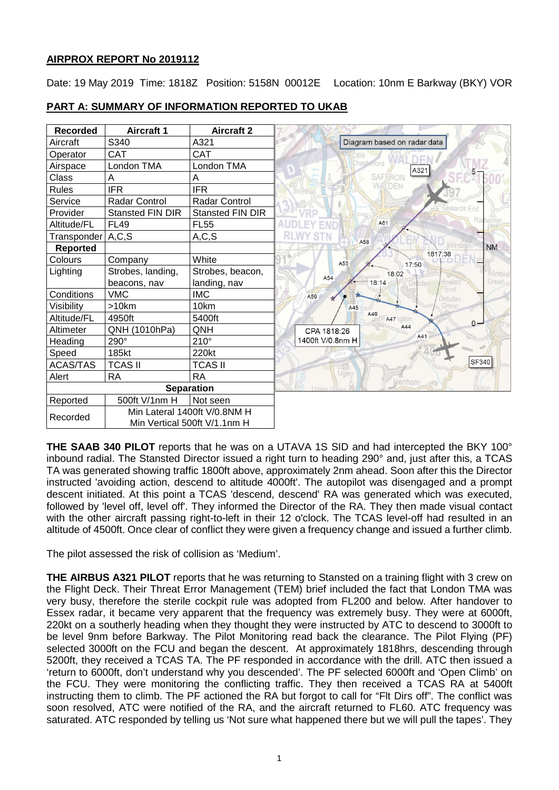# **AIRPROX REPORT No 2019112**

Date: 19 May 2019 Time: 1818Z Position: 5158N 00012E Location: 10nm E Barkway (BKY) VOR

# **PART A: SUMMARY OF INFORMATION REPORTED TO UKAB**

| <b>Recorded</b>   | <b>Aircraft 1</b>            | <b>Aircraft 2</b>       |                                  |
|-------------------|------------------------------|-------------------------|----------------------------------|
| Aircraft          | S340                         | A321                    | Diagram based on radar data      |
| Operator          | <b>CAT</b>                   | CAT                     |                                  |
| Airspace          | London TMA                   | London TMA              | esteriord<br>A321                |
| Class             | А                            | Α                       | SAFERON                          |
| <b>Rules</b>      | <b>IFR</b>                   | <b>IFR</b>              | WALDEN                           |
| Service           | <b>Radar Control</b>         | <b>Radar Control</b>    |                                  |
| Provider          | <b>Stansted FIN DIR</b>      | <b>Stansted FIN DIR</b> | ewards End                       |
| Altitude/FL       | <b>FL49</b>                  | <b>FL55</b>             | A61                              |
| Transponder       | A, C, S                      | A, C, S                 | A58                              |
| <b>Reported</b>   |                              |                         | <b>NM</b><br>1817:38             |
| Colours           | Company                      | White                   | A55<br>17:50                     |
| Lighting          | Strobes, landing,            | Strobes, beacon,        | 18:02<br><b>Nimbis</b><br>A54    |
|                   | beacons, nav                 | landing, nav            | Green $\epsilon$<br>18:14<br>End |
| Conditions        | <b>VMC</b>                   | <b>IMC</b>              | A59<br>Debden                    |
| Visibility        | >10km                        | 10km                    | A45                              |
| Altitude/FL       | 4950ft                       | 5400ft                  | A49<br>A47 ngton<br>$0 -$        |
| Altimeter         | QNH (1010hPa)                | QNH                     | A44<br>CPA 1818:26               |
| Heading           | 290°                         | $210^\circ$             | A41<br>1400ft V/0.8nm H          |
| Speed             | 185kt                        | 220kt                   |                                  |
| <b>ACAS/TAS</b>   | <b>TCAS II</b>               | <b>TCAS II</b>          | <b>SF340</b>                     |
| Alert             | <b>RA</b>                    | <b>RA</b>               | Ugley<br>denham                  |
| <b>Separation</b> |                              |                         |                                  |
| Reported          | 500ft V/1nm H                | Not seen                |                                  |
| Recorded          | Min Lateral 1400ft V/0.8NM H |                         |                                  |
|                   | Min Vertical 500ft V/1.1nm H |                         |                                  |

**THE SAAB 340 PILOT** reports that he was on a UTAVA 1S SID and had intercepted the BKY 100° inbound radial. The Stansted Director issued a right turn to heading 290° and, just after this, a TCAS TA was generated showing traffic 1800ft above, approximately 2nm ahead. Soon after this the Director instructed 'avoiding action, descend to altitude 4000ft'. The autopilot was disengaged and a prompt descent initiated. At this point a TCAS 'descend, descend' RA was generated which was executed, followed by 'level off, level off'. They informed the Director of the RA. They then made visual contact with the other aircraft passing right-to-left in their 12 o'clock. The TCAS level-off had resulted in an altitude of 4500ft. Once clear of conflict they were given a frequency change and issued a further climb.

The pilot assessed the risk of collision as 'Medium'.

**THE AIRBUS A321 PILOT** reports that he was returning to Stansted on a training flight with 3 crew on the Flight Deck. Their Threat Error Management (TEM) brief included the fact that London TMA was very busy, therefore the sterile cockpit rule was adopted from FL200 and below. After handover to Essex radar, it became very apparent that the frequency was extremely busy. They were at 6000ft, 220kt on a southerly heading when they thought they were instructed by ATC to descend to 3000ft to be level 9nm before Barkway. The Pilot Monitoring read back the clearance. The Pilot Flying (PF) selected 3000ft on the FCU and began the descent. At approximately 1818hrs, descending through 5200ft, they received a TCAS TA. The PF responded in accordance with the drill. ATC then issued a 'return to 6000ft, don't understand why you descended'. The PF selected 6000ft and 'Open Climb' on the FCU. They were monitoring the conflicting traffic. They then received a TCAS RA at 5400ft instructing them to climb. The PF actioned the RA but forgot to call for "Flt Dirs off". The conflict was soon resolved. ATC were notified of the RA, and the aircraft returned to FL60. ATC frequency was saturated. ATC responded by telling us 'Not sure what happened there but we will pull the tapes'. They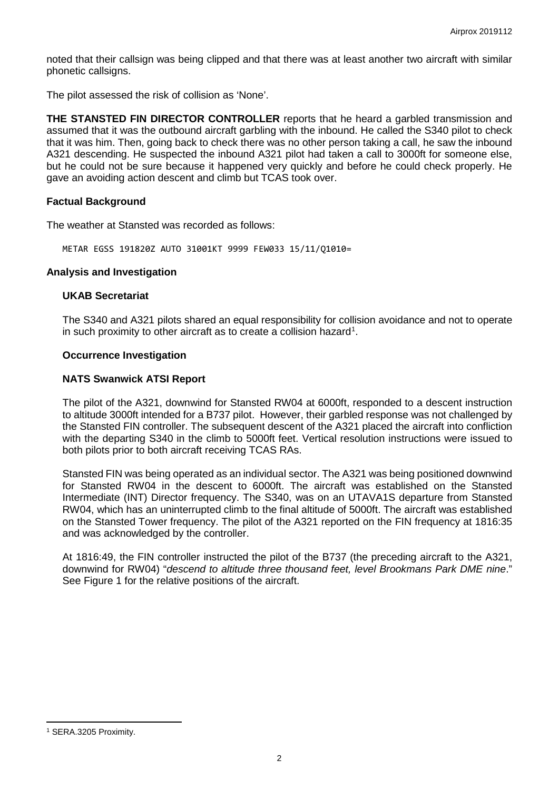noted that their callsign was being clipped and that there was at least another two aircraft with similar phonetic callsigns.

The pilot assessed the risk of collision as 'None'.

**THE STANSTED FIN DIRECTOR CONTROLLER** reports that he heard a garbled transmission and assumed that it was the outbound aircraft garbling with the inbound. He called the S340 pilot to check that it was him. Then, going back to check there was no other person taking a call, he saw the inbound A321 descending. He suspected the inbound A321 pilot had taken a call to 3000ft for someone else, but he could not be sure because it happened very quickly and before he could check properly. He gave an avoiding action descent and climb but TCAS took over.

# **Factual Background**

The weather at Stansted was recorded as follows:

METAR EGSS 191820Z AUTO 31001KT 9999 FEW033 15/11/Q1010=

## **Analysis and Investigation**

# **UKAB Secretariat**

The S340 and A321 pilots shared an equal responsibility for collision avoidance and not to operate in such proximity to other aircraft as to create a collision hazard<sup>[1](#page-1-0)</sup>.

## **Occurrence Investigation**

## **NATS Swanwick ATSI Report**

The pilot of the A321, downwind for Stansted RW04 at 6000ft, responded to a descent instruction to altitude 3000ft intended for a B737 pilot. However, their garbled response was not challenged by the Stansted FIN controller. The subsequent descent of the A321 placed the aircraft into confliction with the departing S340 in the climb to 5000ft feet. Vertical resolution instructions were issued to both pilots prior to both aircraft receiving TCAS RAs.

Stansted FIN was being operated as an individual sector. The A321 was being positioned downwind for Stansted RW04 in the descent to 6000ft. The aircraft was established on the Stansted Intermediate (INT) Director frequency. The S340, was on an UTAVA1S departure from Stansted RW04, which has an uninterrupted climb to the final altitude of 5000ft. The aircraft was established on the Stansted Tower frequency. The pilot of the A321 reported on the FIN frequency at 1816:35 and was acknowledged by the controller.

At 1816:49, the FIN controller instructed the pilot of the B737 (the preceding aircraft to the A321, downwind for RW04) "*descend to altitude three thousand feet, level Brookmans Park DME nine*." See Figure 1 for the relative positions of the aircraft.

l

<span id="page-1-0"></span><sup>1</sup> SERA.3205 Proximity.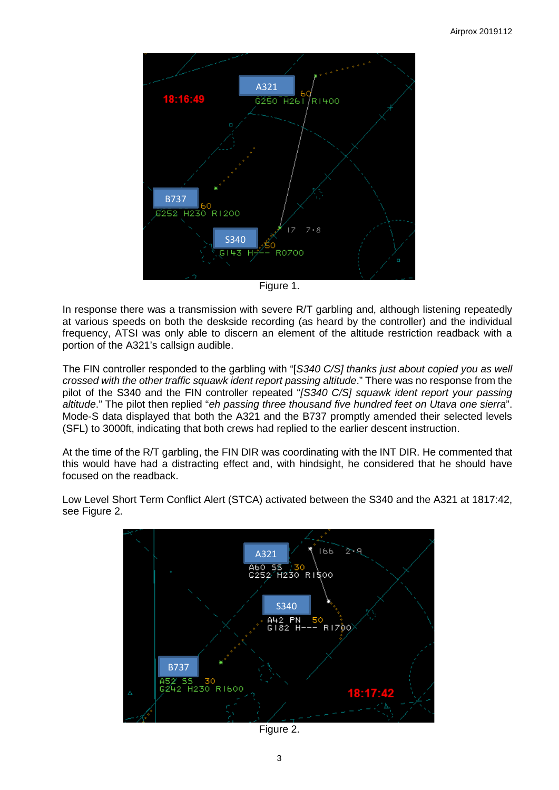

Figure 1.

In response there was a transmission with severe R/T garbling and, although listening repeatedly at various speeds on both the deskside recording (as heard by the controller) and the individual frequency, ATSI was only able to discern an element of the altitude restriction readback with a portion of the A321's callsign audible.

The FIN controller responded to the garbling with "[*S340 C/S] thanks just about copied you as well crossed with the other traffic squawk ident report passing altitude*." There was no response from the pilot of the S340 and the FIN controller repeated "*[S340 C/S] squawk ident report your passing altitude*." The pilot then replied "*eh passing three thousand five hundred feet on Utava one sierra*". Mode-S data displayed that both the A321 and the B737 promptly amended their selected levels (SFL) to 3000ft, indicating that both crews had replied to the earlier descent instruction.

At the time of the R/T garbling, the FIN DIR was coordinating with the INT DIR. He commented that this would have had a distracting effect and, with hindsight, he considered that he should have focused on the readback.



Low Level Short Term Conflict Alert (STCA) activated between the S340 and the A321 at 1817:42, see Figure 2.

Figure 2.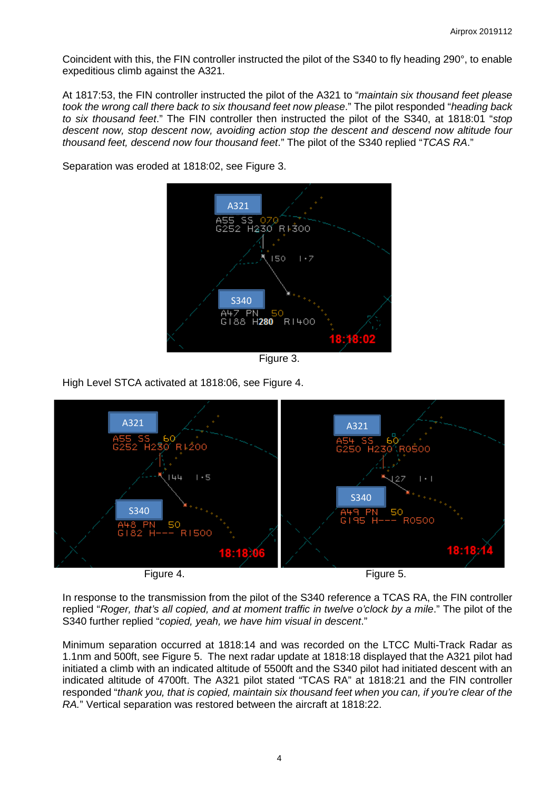Coincident with this, the FIN controller instructed the pilot of the S340 to fly heading 290°, to enable expeditious climb against the A321.

At 1817:53, the FIN controller instructed the pilot of the A321 to "*maintain six thousand feet please took the wrong call there back to six thousand feet now please*." The pilot responded "*heading back to six thousand feet*." The FIN controller then instructed the pilot of the S340, at 1818:01 "*stop descent now, stop descent now, avoiding action stop the descent and descend now altitude four thousand feet, descend now four thousand feet*." The pilot of the S340 replied "*TCAS RA*."



Separation was eroded at 1818:02, see Figure 3.

Figure 3.

High Level STCA activated at 1818:06, see Figure 4.



In response to the transmission from the pilot of the S340 reference a TCAS RA, the FIN controller replied "*Roger, that's all copied, and at moment traffic in twelve o'clock by a mile*." The pilot of the S340 further replied "*copied, yeah, we have him visual in descent*."

Minimum separation occurred at 1818:14 and was recorded on the LTCC Multi-Track Radar as 1.1nm and 500ft, see Figure 5. The next radar update at 1818:18 displayed that the A321 pilot had initiated a climb with an indicated altitude of 5500ft and the S340 pilot had initiated descent with an indicated altitude of 4700ft. The A321 pilot stated "TCAS RA" at 1818:21 and the FIN controller responded "*thank you, that is copied, maintain six thousand feet when you can, if you're clear of the RA.*" Vertical separation was restored between the aircraft at 1818:22.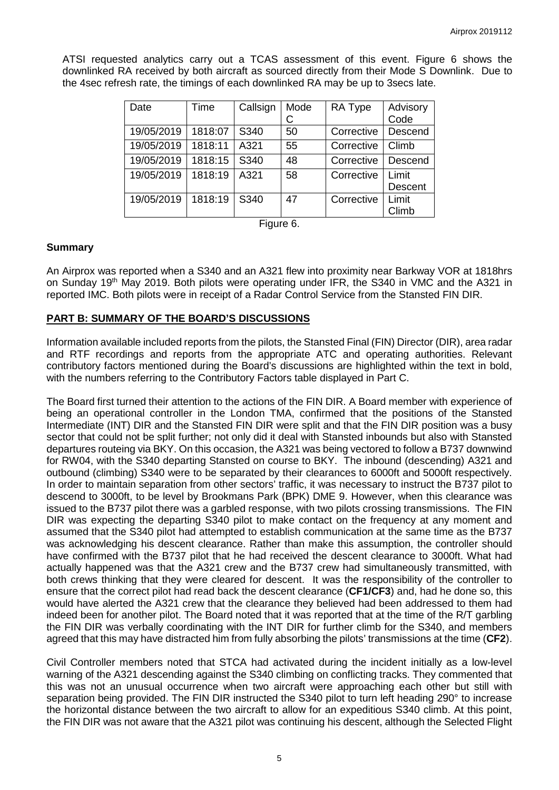ATSI requested analytics carry out a TCAS assessment of this event. Figure 6 shows the downlinked RA received by both aircraft as sourced directly from their Mode S Downlink. Due to the 4sec refresh rate, the timings of each downlinked RA may be up to 3secs late.

| Date       | Time    | Callsign | Mode | RA Type    | Advisory       |
|------------|---------|----------|------|------------|----------------|
|            |         |          |      |            | Code           |
| 19/05/2019 | 1818:07 | S340     | 50   | Corrective | Descend        |
| 19/05/2019 | 1818:11 | A321     | 55   | Corrective | Climb          |
| 19/05/2019 | 1818:15 | S340     | 48   | Corrective | Descend        |
| 19/05/2019 | 1818:19 | A321     | 58   | Corrective | Limit          |
|            |         |          |      |            | <b>Descent</b> |
| 19/05/2019 | 1818:19 | S340     | 47   | Corrective | Limit          |
|            |         |          |      |            | Climb          |

Figure 6.

#### **Summary**

An Airprox was reported when a S340 and an A321 flew into proximity near Barkway VOR at 1818hrs on Sunday 19<sup>th</sup> May 2019. Both pilots were operating under IFR, the S340 in VMC and the A321 in reported IMC. Both pilots were in receipt of a Radar Control Service from the Stansted FIN DIR.

## **PART B: SUMMARY OF THE BOARD'S DISCUSSIONS**

Information available included reports from the pilots, the Stansted Final (FIN) Director (DIR), area radar and RTF recordings and reports from the appropriate ATC and operating authorities. Relevant contributory factors mentioned during the Board's discussions are highlighted within the text in bold, with the numbers referring to the Contributory Factors table displayed in Part C.

The Board first turned their attention to the actions of the FIN DIR. A Board member with experience of being an operational controller in the London TMA, confirmed that the positions of the Stansted Intermediate (INT) DIR and the Stansted FIN DIR were split and that the FIN DIR position was a busy sector that could not be split further; not only did it deal with Stansted inbounds but also with Stansted departures routeing via BKY. On this occasion, the A321 was being vectored to follow a B737 downwind for RW04, with the S340 departing Stansted on course to BKY. The inbound (descending) A321 and outbound (climbing) S340 were to be separated by their clearances to 6000ft and 5000ft respectively. In order to maintain separation from other sectors' traffic, it was necessary to instruct the B737 pilot to descend to 3000ft, to be level by Brookmans Park (BPK) DME 9. However, when this clearance was issued to the B737 pilot there was a garbled response, with two pilots crossing transmissions. The FIN DIR was expecting the departing S340 pilot to make contact on the frequency at any moment and assumed that the S340 pilot had attempted to establish communication at the same time as the B737 was acknowledging his descent clearance. Rather than make this assumption, the controller should have confirmed with the B737 pilot that he had received the descent clearance to 3000ft. What had actually happened was that the A321 crew and the B737 crew had simultaneously transmitted, with both crews thinking that they were cleared for descent. It was the responsibility of the controller to ensure that the correct pilot had read back the descent clearance (**CF1/CF3**) and, had he done so, this would have alerted the A321 crew that the clearance they believed had been addressed to them had indeed been for another pilot. The Board noted that it was reported that at the time of the R/T garbling the FIN DIR was verbally coordinating with the INT DIR for further climb for the S340, and members agreed that this may have distracted him from fully absorbing the pilots' transmissions at the time (**CF2**).

Civil Controller members noted that STCA had activated during the incident initially as a low-level warning of the A321 descending against the S340 climbing on conflicting tracks. They commented that this was not an unusual occurrence when two aircraft were approaching each other but still with separation being provided. The FIN DIR instructed the S340 pilot to turn left heading 290° to increase the horizontal distance between the two aircraft to allow for an expeditious S340 climb. At this point, the FIN DIR was not aware that the A321 pilot was continuing his descent, although the Selected Flight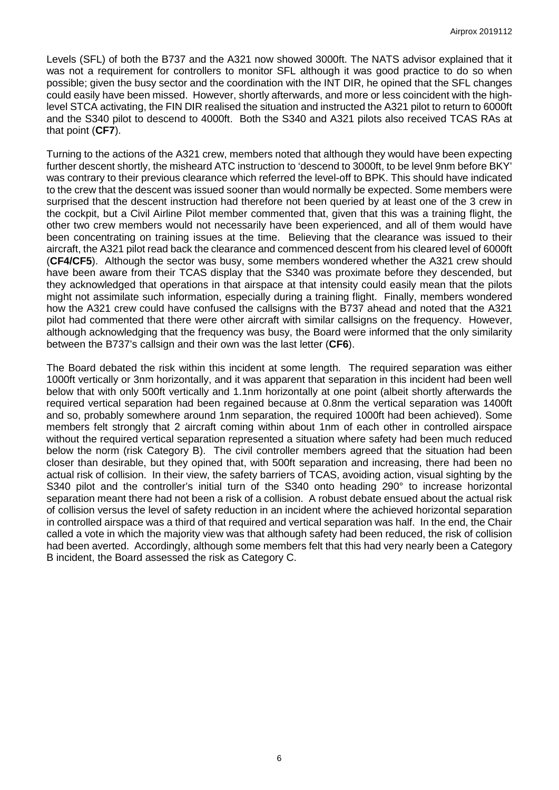Levels (SFL) of both the B737 and the A321 now showed 3000ft. The NATS advisor explained that it was not a requirement for controllers to monitor SFL although it was good practice to do so when possible; given the busy sector and the coordination with the INT DIR, he opined that the SFL changes could easily have been missed. However, shortly afterwards, and more or less coincident with the highlevel STCA activating, the FIN DIR realised the situation and instructed the A321 pilot to return to 6000ft and the S340 pilot to descend to 4000ft. Both the S340 and A321 pilots also received TCAS RAs at that point (**CF7**).

Turning to the actions of the A321 crew, members noted that although they would have been expecting further descent shortly, the misheard ATC instruction to 'descend to 3000ft, to be level 9nm before BKY' was contrary to their previous clearance which referred the level-off to BPK. This should have indicated to the crew that the descent was issued sooner than would normally be expected. Some members were surprised that the descent instruction had therefore not been queried by at least one of the 3 crew in the cockpit, but a Civil Airline Pilot member commented that, given that this was a training flight, the other two crew members would not necessarily have been experienced, and all of them would have been concentrating on training issues at the time. Believing that the clearance was issued to their aircraft, the A321 pilot read back the clearance and commenced descent from his cleared level of 6000ft (**CF4/CF5**). Although the sector was busy, some members wondered whether the A321 crew should have been aware from their TCAS display that the S340 was proximate before they descended, but they acknowledged that operations in that airspace at that intensity could easily mean that the pilots might not assimilate such information, especially during a training flight. Finally, members wondered how the A321 crew could have confused the callsigns with the B737 ahead and noted that the A321 pilot had commented that there were other aircraft with similar callsigns on the frequency. However, although acknowledging that the frequency was busy, the Board were informed that the only similarity between the B737's callsign and their own was the last letter (**CF6**).

The Board debated the risk within this incident at some length. The required separation was either 1000ft vertically or 3nm horizontally, and it was apparent that separation in this incident had been well below that with only 500ft vertically and 1.1nm horizontally at one point (albeit shortly afterwards the required vertical separation had been regained because at 0.8nm the vertical separation was 1400ft and so, probably somewhere around 1nm separation, the required 1000ft had been achieved). Some members felt strongly that 2 aircraft coming within about 1nm of each other in controlled airspace without the required vertical separation represented a situation where safety had been much reduced below the norm (risk Category B). The civil controller members agreed that the situation had been closer than desirable, but they opined that, with 500ft separation and increasing, there had been no actual risk of collision. In their view, the safety barriers of TCAS, avoiding action, visual sighting by the S340 pilot and the controller's initial turn of the S340 onto heading 290° to increase horizontal separation meant there had not been a risk of a collision. A robust debate ensued about the actual risk of collision versus the level of safety reduction in an incident where the achieved horizontal separation in controlled airspace was a third of that required and vertical separation was half. In the end, the Chair called a vote in which the majority view was that although safety had been reduced, the risk of collision had been averted. Accordingly, although some members felt that this had very nearly been a Category B incident, the Board assessed the risk as Category C.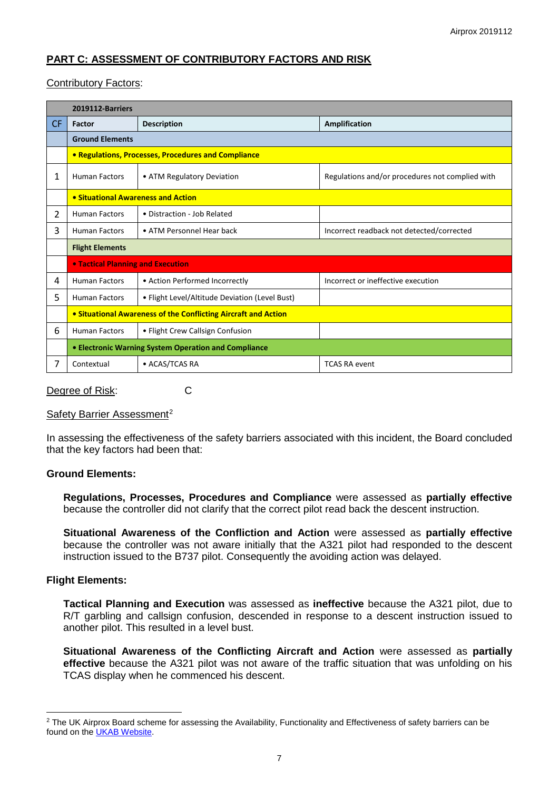# **PART C: ASSESSMENT OF CONTRIBUTORY FACTORS AND RISK**

# Contributory Factors:

|           | 2019112-Barriers                                               |                                                |                                                 |  |  |  |  |
|-----------|----------------------------------------------------------------|------------------------------------------------|-------------------------------------------------|--|--|--|--|
| <b>CF</b> | Factor                                                         | <b>Description</b>                             | Amplification                                   |  |  |  |  |
|           | <b>Ground Elements</b>                                         |                                                |                                                 |  |  |  |  |
|           | • Regulations, Processes, Procedures and Compliance            |                                                |                                                 |  |  |  |  |
| 1         | <b>Human Factors</b>                                           | • ATM Regulatory Deviation                     | Regulations and/or procedures not complied with |  |  |  |  |
|           | • Situational Awareness and Action                             |                                                |                                                 |  |  |  |  |
| 2         | <b>Human Factors</b>                                           | • Distraction - Job Related                    |                                                 |  |  |  |  |
| 3         | <b>Human Factors</b>                                           | • ATM Personnel Hear back                      | Incorrect readback not detected/corrected       |  |  |  |  |
|           | <b>Flight Elements</b>                                         |                                                |                                                 |  |  |  |  |
|           | <b>. Tactical Planning and Execution</b>                       |                                                |                                                 |  |  |  |  |
| 4         | <b>Human Factors</b>                                           | • Action Performed Incorrectly                 | Incorrect or ineffective execution              |  |  |  |  |
| 5         | <b>Human Factors</b>                                           | • Flight Level/Altitude Deviation (Level Bust) |                                                 |  |  |  |  |
|           | • Situational Awareness of the Conflicting Aircraft and Action |                                                |                                                 |  |  |  |  |
| 6         | <b>Human Factors</b>                                           | • Flight Crew Callsign Confusion               |                                                 |  |  |  |  |
|           | • Electronic Warning System Operation and Compliance           |                                                |                                                 |  |  |  |  |
| 7         | Contextual                                                     | • ACAS/TCAS RA                                 | <b>TCAS RA event</b>                            |  |  |  |  |

Degree of Risk: C

# Safety Barrier Assessment<sup>[2](#page-6-0)</sup>

In assessing the effectiveness of the safety barriers associated with this incident, the Board concluded that the key factors had been that:

## **Ground Elements:**

**Regulations, Processes, Procedures and Compliance** were assessed as **partially effective** because the controller did not clarify that the correct pilot read back the descent instruction.

**Situational Awareness of the Confliction and Action** were assessed as **partially effective** because the controller was not aware initially that the A321 pilot had responded to the descent instruction issued to the B737 pilot. Consequently the avoiding action was delayed.

## **Flight Elements:**

 $\overline{\phantom{a}}$ 

**Tactical Planning and Execution** was assessed as **ineffective** because the A321 pilot, due to R/T garbling and callsign confusion, descended in response to a descent instruction issued to another pilot. This resulted in a level bust.

**Situational Awareness of the Conflicting Aircraft and Action** were assessed as **partially effective** because the A321 pilot was not aware of the traffic situation that was unfolding on his TCAS display when he commenced his descent.

<span id="page-6-0"></span><sup>&</sup>lt;sup>2</sup> The UK Airprox Board scheme for assessing the Availability, Functionality and Effectiveness of safety barriers can be found on the [UKAB Website.](http://www.airproxboard.org.uk/Learn-more/Airprox-Barrier-Assessment/)